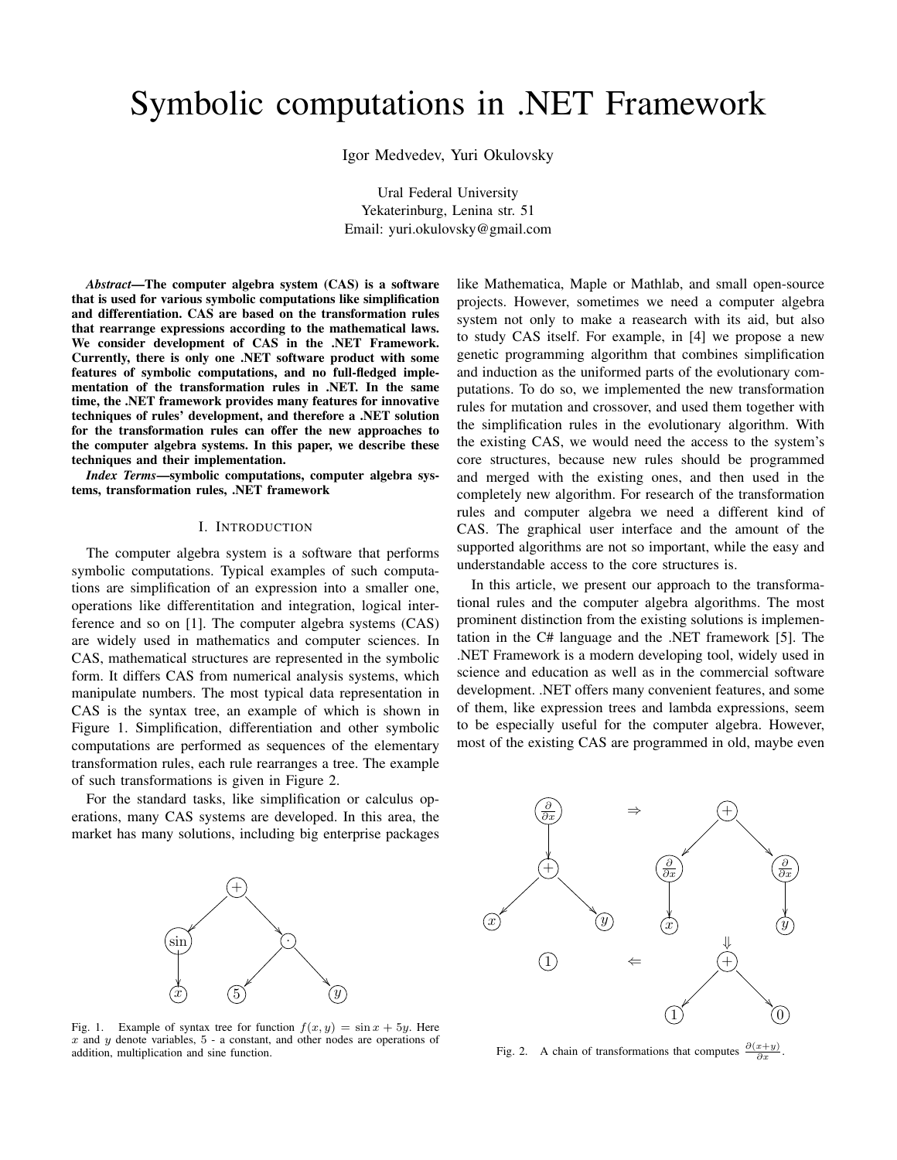# Symbolic computations in .NET Framework

Igor Medvedev, Yuri Okulovsky

Ural Federal University Yekaterinburg, Lenina str. 51 Email: yuri.okulovsky@gmail.com

*Abstract*—The computer algebra system (CAS) is a software that is used for various symbolic computations like simplification and differentiation. CAS are based on the transformation rules that rearrange expressions according to the mathematical laws. We consider development of CAS in the .NET Framework. Currently, there is only one .NET software product with some features of symbolic computations, and no full-fledged implementation of the transformation rules in .NET. In the same time, the .NET framework provides many features for innovative techniques of rules' development, and therefore a .NET solution for the transformation rules can offer the new approaches to the computer algebra systems. In this paper, we describe these techniques and their implementation.

*Index Terms*—symbolic computations, computer algebra systems, transformation rules, .NET framework

#### I. INTRODUCTION

The computer algebra system is a software that performs symbolic computations. Typical examples of such computations are simplification of an expression into a smaller one, operations like differentitation and integration, logical interference and so on [1]. The computer algebra systems (CAS) are widely used in mathematics and computer sciences. In CAS, mathematical structures are represented in the symbolic form. It differs CAS from numerical analysis systems, which manipulate numbers. The most typical data representation in CAS is the syntax tree, an example of which is shown in Figure 1. Simplification, differentiation and other symbolic computations are performed as sequences of the elementary transformation rules, each rule rearranges a tree. The example of such transformations is given in Figure 2.

For the standard tasks, like simplification or calculus operations, many CAS systems are developed. In this area, the market has many solutions, including big enterprise packages



Fig. 1. Example of syntax tree for function  $f(x, y) = \sin x + 5y$ . Here  $x$  and  $y$  denote variables,  $5$  - a constant, and other nodes are operations of addition, multiplication and sine function.

like Mathematica, Maple or Mathlab, and small open-source projects. However, sometimes we need a computer algebra system not only to make a reasearch with its aid, but also to study CAS itself. For example, in [4] we propose a new genetic programming algorithm that combines simplification and induction as the uniformed parts of the evolutionary computations. To do so, we implemented the new transformation rules for mutation and crossover, and used them together with the simplification rules in the evolutionary algorithm. With the existing CAS, we would need the access to the system's core structures, because new rules should be programmed and merged with the existing ones, and then used in the completely new algorithm. For research of the transformation rules and computer algebra we need a different kind of CAS. The graphical user interface and the amount of the supported algorithms are not so important, while the easy and understandable access to the core structures is.

In this article, we present our approach to the transformational rules and the computer algebra algorithms. The most prominent distinction from the existing solutions is implementation in the C# language and the .NET framework [5]. The .NET Framework is a modern developing tool, widely used in science and education as well as in the commercial software development. .NET offers many convenient features, and some of them, like expression trees and lambda expressions, seem to be especially useful for the computer algebra. However, most of the existing CAS are programmed in old, maybe even



Fig. 2. A chain of transformations that computes  $\frac{\partial(x+y)}{\partial x}$ .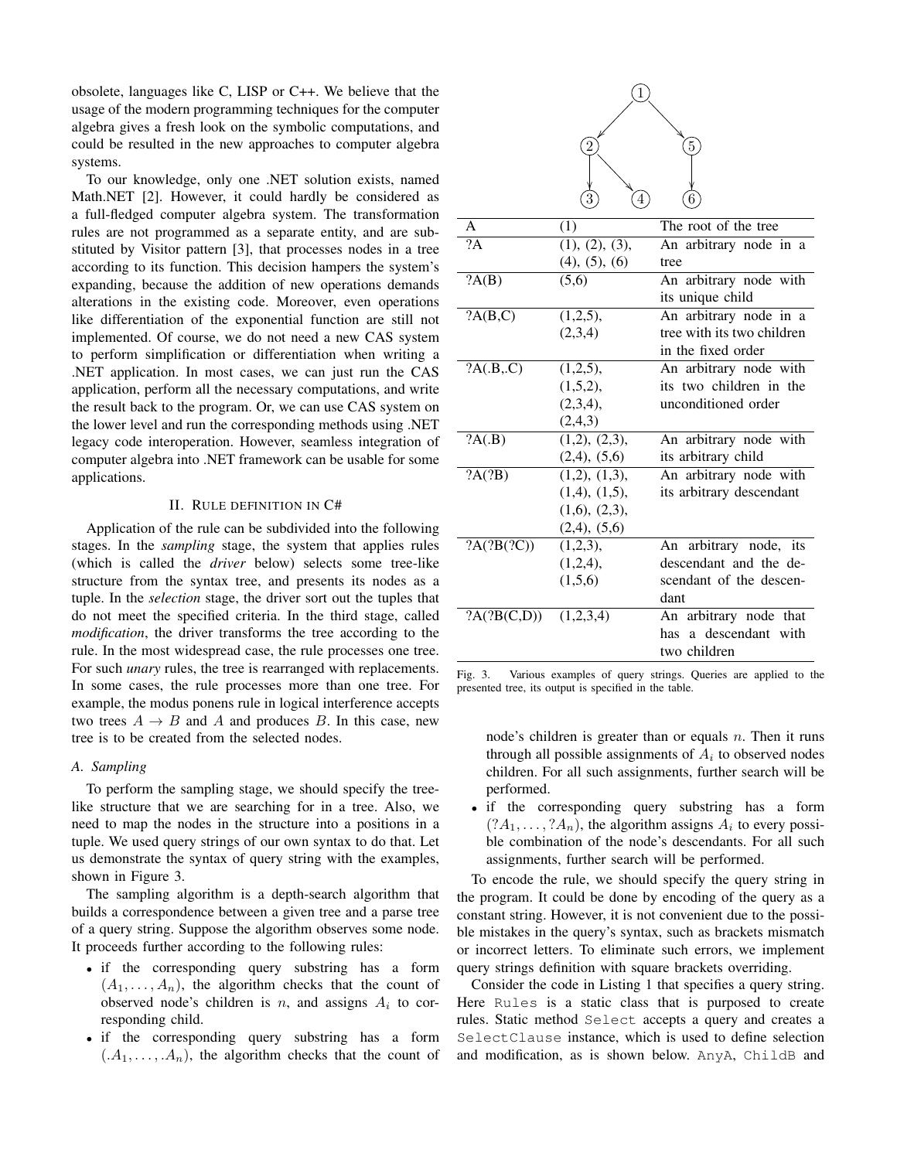obsolete, languages like C, LISP or C++. We believe that the usage of the modern programming techniques for the computer algebra gives a fresh look on the symbolic computations, and could be resulted in the new approaches to computer algebra systems.

To our knowledge, only one .NET solution exists, named Math.NET [2]. However, it could hardly be considered as a full-fledged computer algebra system. The transformation rules are not programmed as a separate entity, and are substituted by Visitor pattern [3], that processes nodes in a tree according to its function. This decision hampers the system's expanding, because the addition of new operations demands alterations in the existing code. Moreover, even operations like differentiation of the exponential function are still not implemented. Of course, we do not need a new CAS system to perform simplification or differentiation when writing a .NET application. In most cases, we can just run the CAS application, perform all the necessary computations, and write the result back to the program. Or, we can use CAS system on the lower level and run the corresponding methods using .NET legacy code interoperation. However, seamless integration of computer algebra into .NET framework can be usable for some applications.

## II. RULE DEFINITION IN C#

Application of the rule can be subdivided into the following stages. In the *sampling* stage, the system that applies rules (which is called the *driver* below) selects some tree-like structure from the syntax tree, and presents its nodes as a tuple. In the *selection* stage, the driver sort out the tuples that do not meet the specified criteria. In the third stage, called *modification*, the driver transforms the tree according to the rule. In the most widespread case, the rule processes one tree. For such *unary* rules, the tree is rearranged with replacements. In some cases, the rule processes more than one tree. For example, the modus ponens rule in logical interference accepts two trees  $A \rightarrow B$  and A and produces B. In this case, new tree is to be created from the selected nodes.

# *A. Sampling*

To perform the sampling stage, we should specify the treelike structure that we are searching for in a tree. Also, we need to map the nodes in the structure into a positions in a tuple. We used query strings of our own syntax to do that. Let us demonstrate the syntax of query string with the examples, shown in Figure 3.

The sampling algorithm is a depth-search algorithm that builds a correspondence between a given tree and a parse tree of a query string. Suppose the algorithm observes some node. It proceeds further according to the following rules:

- if the corresponding query substring has a form  $(A_1, \ldots, A_n)$ , the algorithm checks that the count of observed node's children is  $n$ , and assigns  $A_i$  to corresponding child.
- if the corresponding query substring has a form  $(A_1, \ldots, A_n)$ , the algorithm checks that the count of

|                 |                     | $\overline{5}$             |
|-----------------|---------------------|----------------------------|
|                 |                     |                            |
|                 | 4                   |                            |
|                 |                     |                            |
| A               | (1)                 | The root of the tree       |
| $\overline{?}A$ | (1), (2), (3),      | An arbitrary node in a     |
|                 | (4), (5), (6)       | tree                       |
| ?A(B)           | $\overline{(5,6)}$  | An arbitrary node with     |
|                 |                     | its unique child           |
| ?A(B,C)         | (1,2,5),            | An arbitrary node in a     |
|                 | (2,3,4)             | tree with its two children |
|                 |                     | in the fixed order         |
| ?A(.B,.C)       | (1,2,5),            | An arbitrary node with     |
|                 | (1,5,2),            | its two children in the    |
|                 | (2,3,4),            | unconditioned order        |
|                 | (2,4,3)             |                            |
| ?A(B)           | (1,2), (2,3),       | An arbitrary node with     |
|                 | $(2,4)$ , $(5,6)$   | its arbitrary child        |
| ?A(?B)          | (1,2), (1,3),       | An arbitrary node with     |
|                 | $(1,4)$ , $(1,5)$ , | its arbitrary descendant   |
|                 | (1,6), (2,3),       |                            |
|                 | $(2,4)$ , $(5,6)$   |                            |
| ?A(?B(?C))      | (1,2,3),            | An arbitrary node, its     |
|                 | (1,2,4),            | descendant and the de-     |
|                 | (1,5,6)             | scendant of the descen-    |
|                 |                     | dant                       |
| ?A(?B(C,D))     | (1,2,3,4)           | An arbitrary node that     |
|                 |                     | a descendant with<br>has   |
|                 |                     | two children               |

Fig. 3. Various examples of query strings. Queries are applied to the presented tree, its output is specified in the table.

node's children is greater than or equals  $n$ . Then it runs through all possible assignments of  $A_i$  to observed nodes children. For all such assignments, further search will be performed.

• if the corresponding query substring has a form  $(?A_1, \ldots, ?A_n)$ , the algorithm assigns  $A_i$  to every possible combination of the node's descendants. For all such assignments, further search will be performed.

To encode the rule, we should specify the query string in the program. It could be done by encoding of the query as a constant string. However, it is not convenient due to the possible mistakes in the query's syntax, such as brackets mismatch or incorrect letters. To eliminate such errors, we implement query strings definition with square brackets overriding.

Consider the code in Listing 1 that specifies a query string. Here Rules is a static class that is purposed to create rules. Static method Select accepts a query and creates a SelectClause instance, which is used to define selection and modification, as is shown below. AnyA, ChildB and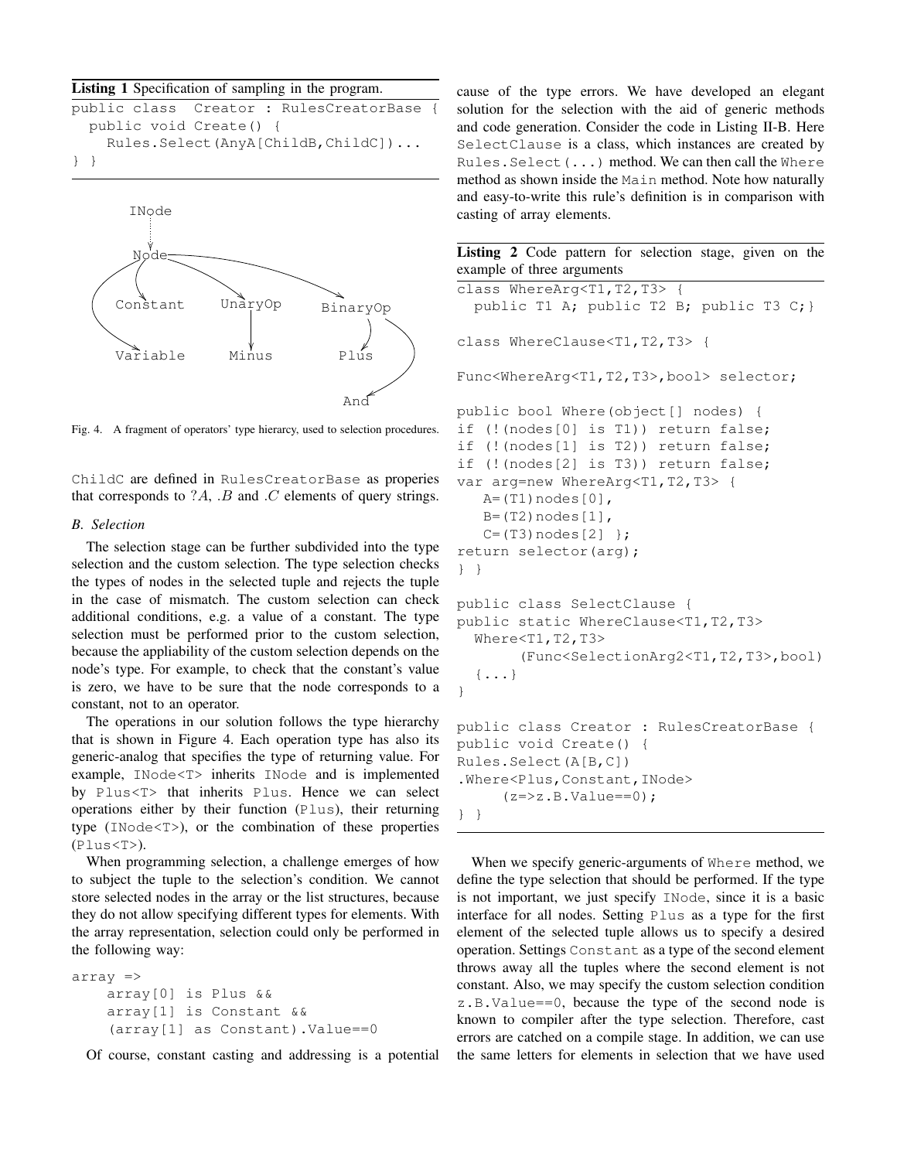#### Listing 1 Specification of sampling in the program.

|                                   |  |  |                        |  | public class Creator: RulesCreatorBase { |  |  |
|-----------------------------------|--|--|------------------------|--|------------------------------------------|--|--|
|                                   |  |  | public void Create() { |  |                                          |  |  |
| Rules.Select(AnyA[ChildB,ChildC]) |  |  |                        |  |                                          |  |  |
| $\}$                              |  |  |                        |  |                                          |  |  |



Fig. 4. A fragment of operators' type hierarcy, used to selection procedures.

ChildC are defined in RulesCreatorBase as properies that corresponds to  $?A$ ,  $.B$  and  $.C$  elements of query strings.

## *B. Selection*

The selection stage can be further subdivided into the type selection and the custom selection. The type selection checks the types of nodes in the selected tuple and rejects the tuple in the case of mismatch. The custom selection can check additional conditions, e.g. a value of a constant. The type selection must be performed prior to the custom selection, because the appliability of the custom selection depends on the node's type. For example, to check that the constant's value is zero, we have to be sure that the node corresponds to a constant, not to an operator.

The operations in our solution follows the type hierarchy that is shown in Figure 4. Each operation type has also its generic-analog that specifies the type of returning value. For example, INode<T> inherits INode and is implemented by Plus<T> that inherits Plus. Hence we can select operations either by their function (Plus), their returning type (INode<T>), or the combination of these properties (Plus<T>).

When programming selection, a challenge emerges of how to subject the tuple to the selection's condition. We cannot store selected nodes in the array or the list structures, because they do not allow specifying different types for elements. With the array representation, selection could only be performed in the following way:

```
array =>
    array[0] is Plus &&
    array[1] is Constant &&
    (array[1] as Constant).Value==0
```
Of course, constant casting and addressing is a potential

cause of the type errors. We have developed an elegant solution for the selection with the aid of generic methods and code generation. Consider the code in Listing II-B. Here SelectClause is a class, which instances are created by Rules.Select(...) method. We can then call the Where method as shown inside the Main method. Note how naturally and easy-to-write this rule's definition is in comparison with casting of array elements.

|                            |  |  |  |  | Listing 2 Code pattern for selection stage, given on the |  |  |  |
|----------------------------|--|--|--|--|----------------------------------------------------------|--|--|--|
| example of three arguments |  |  |  |  |                                                          |  |  |  |

```
class WhereArg<T1, T2, T3>
  public T1 A; public T2 B; public T3 C; }
class WhereClause<T1,T2,T3> {
Func<WhereArg<T1,T2,T3>,bool> selector;
public bool Where(object[] nodes) {
if (!(nodes[0] is T1)) return false;
if (!(nodes[1] is T2)) return false;
if (!(nodes[2] is T3)) return false;
var arg=new WhereArg<T1, T2, T3> {
   A=(T1)nodes[0],
   B=(T2)nodes[1],
   C = (T3) nodes [2] };
return selector(arg);
} }
public class SelectClause {
public static WhereClause<T1,T2,T3>
  Where<T1,T2,T3>
       (Func<SelectionArg2<T1,T2,T3>,bool)
  \{\ldots\}}
public class Creator : RulesCreatorBase {
public void Create() {
Rules.Select(A[B,C])
.Where<Plus, Constant, INode>
     (z => z.B.Value == 0);} }
```
When we specify generic-arguments of Where method, we define the type selection that should be performed. If the type is not important, we just specify INode, since it is a basic interface for all nodes. Setting Plus as a type for the first element of the selected tuple allows us to specify a desired operation. Settings Constant as a type of the second element throws away all the tuples where the second element is not constant. Also, we may specify the custom selection condition z.B.Value==0, because the type of the second node is known to compiler after the type selection. Therefore, cast errors are catched on a compile stage. In addition, we can use the same letters for elements in selection that we have used